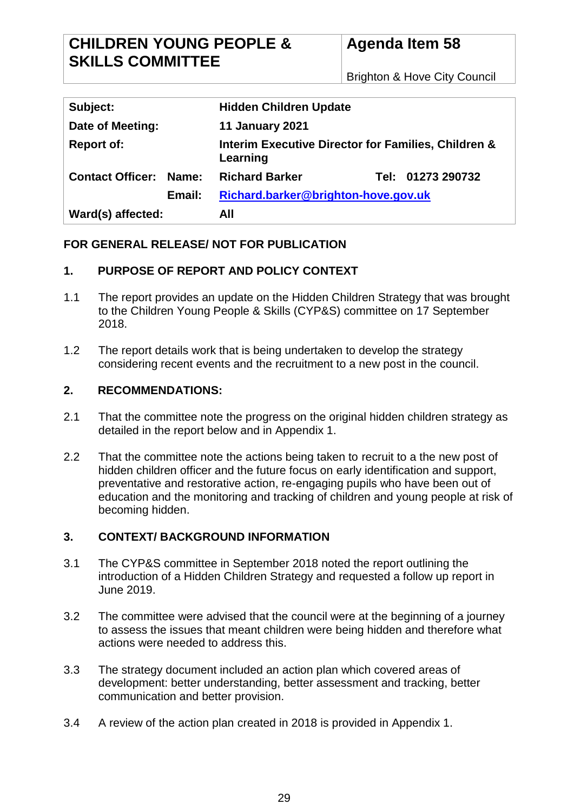| Subject:                      | <b>Hidden Children Update</b>                                   |  |  |
|-------------------------------|-----------------------------------------------------------------|--|--|
| Date of Meeting:              | <b>11 January 2021</b>                                          |  |  |
| <b>Report of:</b>             | Interim Executive Director for Families, Children &<br>Learning |  |  |
| <b>Contact Officer: Name:</b> | <b>Richard Barker</b><br>Tel: 01273 290732                      |  |  |
| Email:                        | Richard.barker@brighton-hove.gov.uk                             |  |  |
| Ward(s) affected:             | All                                                             |  |  |

## **FOR GENERAL RELEASE/ NOT FOR PUBLICATION**

## **1. PURPOSE OF REPORT AND POLICY CONTEXT**

- 1.1 The report provides an update on the Hidden Children Strategy that was brought to the Children Young People & Skills (CYP&S) committee on 17 September 2018.
- 1.2 The report details work that is being undertaken to develop the strategy considering recent events and the recruitment to a new post in the council.

## **2. RECOMMENDATIONS:**

- 2.1 That the committee note the progress on the original hidden children strategy as detailed in the report below and in Appendix 1.
- 2.2 That the committee note the actions being taken to recruit to a the new post of hidden children officer and the future focus on early identification and support, preventative and restorative action, re-engaging pupils who have been out of education and the monitoring and tracking of children and young people at risk of becoming hidden.

# **3. CONTEXT/ BACKGROUND INFORMATION**

- 3.1 The CYP&S committee in September 2018 noted the report outlining the introduction of a Hidden Children Strategy and requested a follow up report in June 2019.
- 3.2 The committee were advised that the council were at the beginning of a journey to assess the issues that meant children were being hidden and therefore what actions were needed to address this.
- 3.3 The strategy document included an action plan which covered areas of development: better understanding, better assessment and tracking, better communication and better provision.
- 3.4 A review of the action plan created in 2018 is provided in Appendix 1.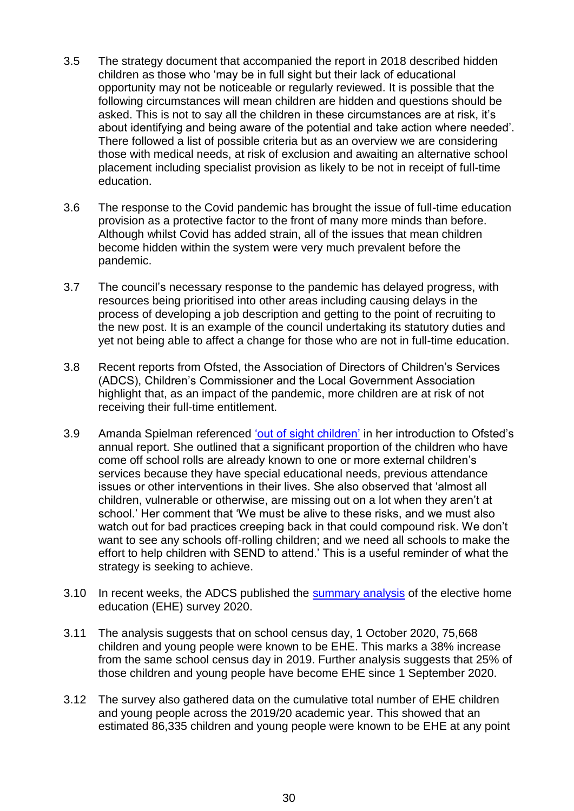- 3.5 The strategy document that accompanied the report in 2018 described hidden children as those who 'may be in full sight but their lack of educational opportunity may not be noticeable or regularly reviewed. It is possible that the following circumstances will mean children are hidden and questions should be asked. This is not to say all the children in these circumstances are at risk, it's about identifying and being aware of the potential and take action where needed'. There followed a list of possible criteria but as an overview we are considering those with medical needs, at risk of exclusion and awaiting an alternative school placement including specialist provision as likely to be not in receipt of full-time education.
- 3.6 The response to the Covid pandemic has brought the issue of full-time education provision as a protective factor to the front of many more minds than before. Although whilst Covid has added strain, all of the issues that mean children become hidden within the system were very much prevalent before the pandemic.
- 3.7 The council's necessary response to the pandemic has delayed progress, with resources being prioritised into other areas including causing delays in the process of developing a job description and getting to the point of recruiting to the new post. It is an example of the council undertaking its statutory duties and yet not being able to affect a change for those who are not in full-time education.
- 3.8 Recent reports from Ofsted, the Association of Directors of Children's Services (ADCS), Children's Commissioner and the Local Government Association highlight that, as an impact of the pandemic, more children are at risk of not receiving their full-time entitlement.
- 3.9 Amanda Spielman referenced ['out of sight children'](https://www.gov.uk/government/speeches/amanda-spielman-launches-ofsteds-annual-report-201920) in her introduction to Ofsted's annual report. She outlined that a significant proportion of the children who have come off school rolls are already known to one or more external children's services because they have special educational needs, previous attendance issues or other interventions in their lives. She also observed that 'almost all children, vulnerable or otherwise, are missing out on a lot when they aren't at school.' Her comment that 'We must be alive to these risks, and we must also watch out for bad practices creeping back in that could compound risk. We don't want to see any schools off-rolling children; and we need all schools to make the effort to help children with SEND to attend.' This is a useful reminder of what the strategy is seeking to achieve.
- 3.10 In recent weeks, the ADCS published the [summary analysis](https://adcs.org.uk/education/article/elective-home-education-survey-2020) of the elective home education (EHE) survey 2020.
- 3.11 The analysis suggests that on school census day, 1 October 2020, 75,668 children and young people were known to be EHE. This marks a 38% increase from the same school census day in 2019. Further analysis suggests that 25% of those children and young people have become EHE since 1 September 2020.
- 3.12 The survey also gathered data on the cumulative total number of EHE children and young people across the 2019/20 academic year. This showed that an estimated 86,335 children and young people were known to be EHE at any point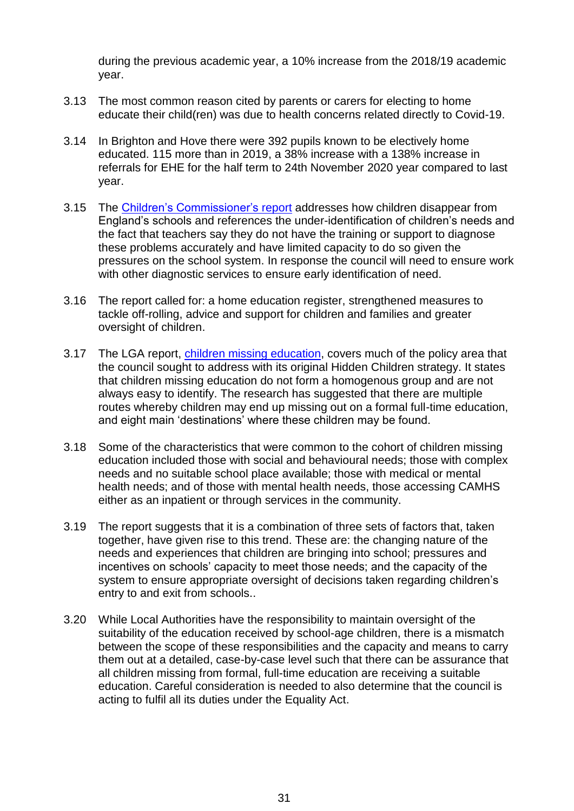during the previous academic year, a 10% increase from the 2018/19 academic year.

- 3.13 The most common reason cited by parents or carers for electing to home educate their child(ren) was due to health concerns related directly to Covid-19.
- 3.14 In Brighton and Hove there were 392 pupils known to be electively home educated. 115 more than in 2019, a 38% increase with a 138% increase in referrals for EHE for the half term to 24th November 2020 year compared to last year.
- 3.15 The [Children's Commissioner's](https://www.childrenscommissioner.gov.uk/wp-content/uploads/2019/02/cco-skipping-school-invisible-children-feb-2019.pdf) report addresses how children disappear from England's schools and references the under-identification of children's needs and the fact that teachers say they do not have the training or support to diagnose these problems accurately and have limited capacity to do so given the pressures on the school system. In response the council will need to ensure work with other diagnostic services to ensure early identification of need.
- 3.16 The report called for: a home education register, strengthened measures to tackle off-rolling, advice and support for children and families and greater oversight of children.
- 3.17 The LGA report, [children missing education,](https://static1.squarespace.com/static/5ce55a5ad4c5c500016855ee/t/5faba9bfac99946fb7bca037/1605085634665/Children+Missing+Education+-+final+report+for+publication+10.11.20.pdf) covers much of the policy area that the council sought to address with its original Hidden Children strategy. It states that children missing education do not form a homogenous group and are not always easy to identify. The research has suggested that there are multiple routes whereby children may end up missing out on a formal full-time education, and eight main 'destinations' where these children may be found.
- 3.18 Some of the characteristics that were common to the cohort of children missing education included those with social and behavioural needs; those with complex needs and no suitable school place available; those with medical or mental health needs; and of those with mental health needs, those accessing CAMHS either as an inpatient or through services in the community.
- 3.19 The report suggests that it is a combination of three sets of factors that, taken together, have given rise to this trend. These are: the changing nature of the needs and experiences that children are bringing into school; pressures and incentives on schools' capacity to meet those needs; and the capacity of the system to ensure appropriate oversight of decisions taken regarding children's entry to and exit from schools..
- 3.20 While Local Authorities have the responsibility to maintain oversight of the suitability of the education received by school-age children, there is a mismatch between the scope of these responsibilities and the capacity and means to carry them out at a detailed, case-by-case level such that there can be assurance that all children missing from formal, full-time education are receiving a suitable education. Careful consideration is needed to also determine that the council is acting to fulfil all its duties under the Equality Act.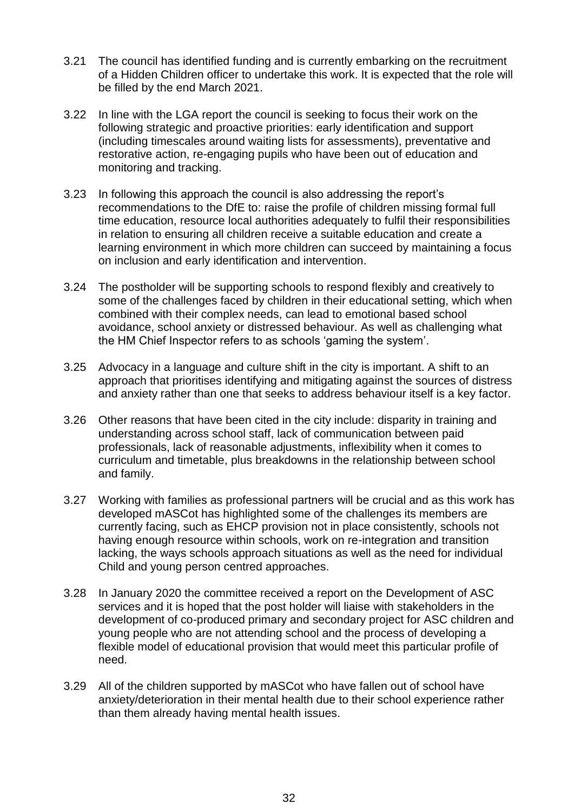- 3.21 The council has identified funding and is currently embarking on the recruitment of a Hidden Children officer to undertake this work. It is expected that the role will be filled by the end March 2021.
- 3.22 In line with the LGA report the council is seeking to focus their work on the following strategic and proactive priorities: early identification and support (including timescales around waiting lists for assessments), preventative and restorative action, re-engaging pupils who have been out of education and monitoring and tracking.
- 3.23 In following this approach the council is also addressing the report's recommendations to the DfE to: raise the profile of children missing formal full time education, resource local authorities adequately to fulfil their responsibilities in relation to ensuring all children receive a suitable education and create a learning environment in which more children can succeed by maintaining a focus on inclusion and early identification and intervention.
- 3.24 The postholder will be supporting schools to respond flexibly and creatively to some of the challenges faced by children in their educational setting, which when combined with their complex needs, can lead to emotional based school avoidance, school anxiety or distressed behaviour. As well as challenging what the HM Chief Inspector refers to as schools 'gaming the system'.
- 3.25 Advocacy in a language and culture shift in the city is important. A shift to an approach that prioritises identifying and mitigating against the sources of distress and anxiety rather than one that seeks to address behaviour itself is a key factor.
- 3.26 Other reasons that have been cited in the city include: disparity in training and understanding across school staff, lack of communication between paid professionals, lack of reasonable adjustments, inflexibility when it comes to curriculum and timetable, plus breakdowns in the relationship between school and family.
- 3.27 Working with families as professional partners will be crucial and as this work has developed mASCot has highlighted some of the challenges its members are currently facing, such as EHCP provision not in place consistently, schools not having enough resource within schools, work on re-integration and transition lacking, the ways schools approach situations as well as the need for individual Child and young person centred approaches.
- 3.28 In January 2020 the committee received a report on the Development of ASC services and it is hoped that the post holder will liaise with stakeholders in the development of co-produced primary and secondary project for ASC children and young people who are not attending school and the process of developing a flexible model of educational provision that would meet this particular profile of need.
- 3.29 All of the children supported by mASCot who have fallen out of school have anxiety/deterioration in their mental health due to their school experience rather than them already having mental health issues.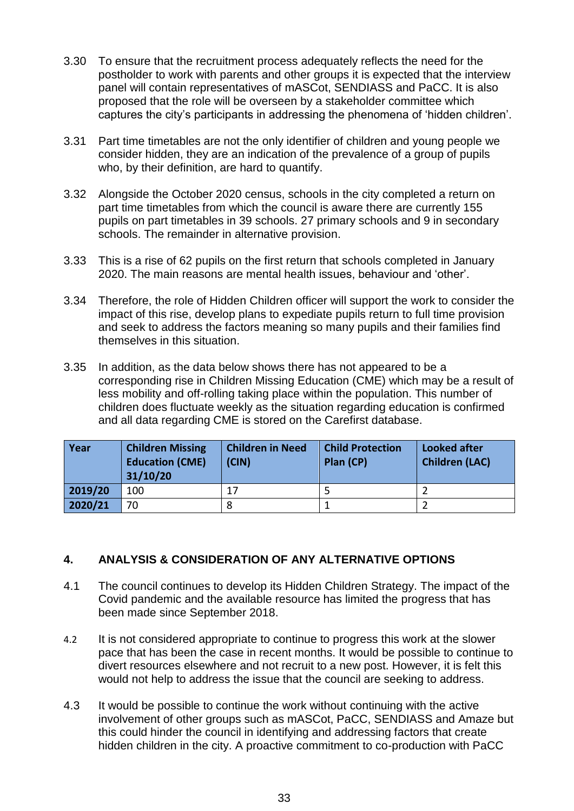- 3.30 To ensure that the recruitment process adequately reflects the need for the postholder to work with parents and other groups it is expected that the interview panel will contain representatives of mASCot, SENDIASS and PaCC. It is also proposed that the role will be overseen by a stakeholder committee which captures the city's participants in addressing the phenomena of 'hidden children'.
- 3.31 Part time timetables are not the only identifier of children and young people we consider hidden, they are an indication of the prevalence of a group of pupils who, by their definition, are hard to quantify.
- 3.32 Alongside the October 2020 census, schools in the city completed a return on part time timetables from which the council is aware there are currently 155 pupils on part timetables in 39 schools. 27 primary schools and 9 in secondary schools. The remainder in alternative provision.
- 3.33 This is a rise of 62 pupils on the first return that schools completed in January 2020. The main reasons are mental health issues, behaviour and 'other'.
- 3.34 Therefore, the role of Hidden Children officer will support the work to consider the impact of this rise, develop plans to expediate pupils return to full time provision and seek to address the factors meaning so many pupils and their families find themselves in this situation.
- 3.35 In addition, as the data below shows there has not appeared to be a corresponding rise in Children Missing Education (CME) which may be a result of less mobility and off-rolling taking place within the population. This number of children does fluctuate weekly as the situation regarding education is confirmed and all data regarding CME is stored on the Carefirst database.

| Year    | <b>Children Missing</b><br><b>Education (CME)</b><br>31/10/20 | <b>Children in Need</b><br>(CIN) | <b>Child Protection</b><br>Plan (CP) | <b>Looked after</b><br><b>Children (LAC)</b> |
|---------|---------------------------------------------------------------|----------------------------------|--------------------------------------|----------------------------------------------|
| 2019/20 | 100                                                           | 17                               |                                      |                                              |
| 2020/21 | 70                                                            |                                  |                                      |                                              |

## **4. ANALYSIS & CONSIDERATION OF ANY ALTERNATIVE OPTIONS**

- 4.1 The council continues to develop its Hidden Children Strategy. The impact of the Covid pandemic and the available resource has limited the progress that has been made since September 2018.
- 4.2 It is not considered appropriate to continue to progress this work at the slower pace that has been the case in recent months. It would be possible to continue to divert resources elsewhere and not recruit to a new post. However, it is felt this would not help to address the issue that the council are seeking to address.
- 4.3 It would be possible to continue the work without continuing with the active involvement of other groups such as mASCot, PaCC, SENDIASS and Amaze but this could hinder the council in identifying and addressing factors that create hidden children in the city. A proactive commitment to co-production with PaCC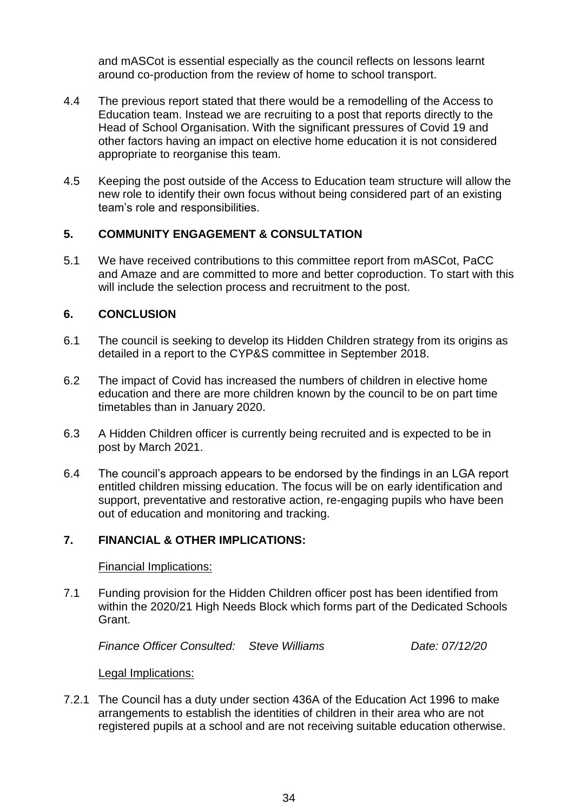and mASCot is essential especially as the council reflects on lessons learnt around co-production from the review of home to school transport.

- 4.4 The previous report stated that there would be a remodelling of the Access to Education team. Instead we are recruiting to a post that reports directly to the Head of School Organisation. With the significant pressures of Covid 19 and other factors having an impact on elective home education it is not considered appropriate to reorganise this team.
- 4.5 Keeping the post outside of the Access to Education team structure will allow the new role to identify their own focus without being considered part of an existing team's role and responsibilities.

# **5. COMMUNITY ENGAGEMENT & CONSULTATION**

5.1 We have received contributions to this committee report from mASCot, PaCC and Amaze and are committed to more and better coproduction. To start with this will include the selection process and recruitment to the post.

# **6. CONCLUSION**

- 6.1 The council is seeking to develop its Hidden Children strategy from its origins as detailed in a report to the CYP&S committee in September 2018.
- 6.2 The impact of Covid has increased the numbers of children in elective home education and there are more children known by the council to be on part time timetables than in January 2020.
- 6.3 A Hidden Children officer is currently being recruited and is expected to be in post by March 2021.
- 6.4 The council's approach appears to be endorsed by the findings in an LGA report entitled children missing education. The focus will be on early identification and support, preventative and restorative action, re-engaging pupils who have been out of education and monitoring and tracking.

## **7. FINANCIAL & OTHER IMPLICATIONS:**

### Financial Implications:

7.1 Funding provision for the Hidden Children officer post has been identified from within the 2020/21 High Needs Block which forms part of the Dedicated Schools Grant.

*Finance Officer Consulted: Steve Williams Date: 07/12/20*

Legal Implications:

7.2.1 The Council has a duty under section 436A of the Education Act 1996 to make arrangements to establish the identities of children in their area who are not registered pupils at a school and are not receiving suitable education otherwise.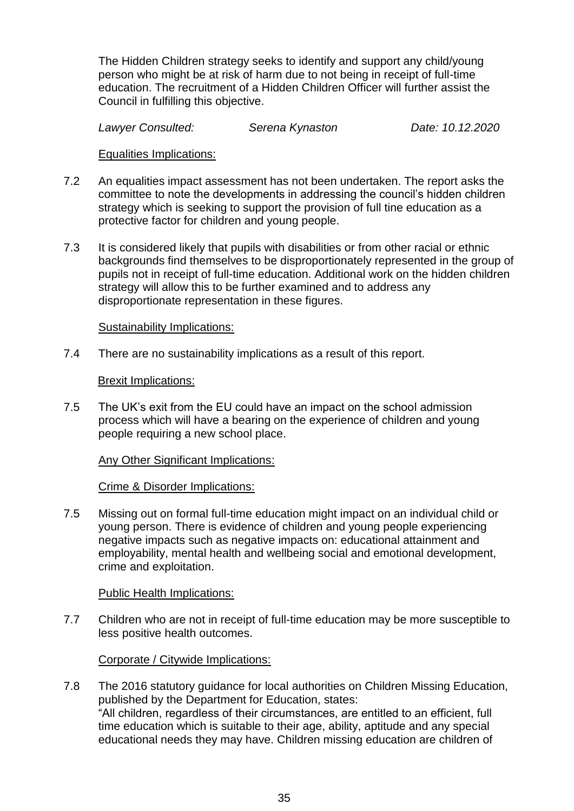The Hidden Children strategy seeks to identify and support any child/young person who might be at risk of harm due to not being in receipt of full-time education. The recruitment of a Hidden Children Officer will further assist the Council in fulfilling this objective.

*Lawyer Consulted: Serena Kynaston Date: 10.12.2020*

### Equalities Implications:

- 7.2 An equalities impact assessment has not been undertaken. The report asks the committee to note the developments in addressing the council's hidden children strategy which is seeking to support the provision of full tine education as a protective factor for children and young people.
- 7.3 It is considered likely that pupils with disabilities or from other racial or ethnic backgrounds find themselves to be disproportionately represented in the group of pupils not in receipt of full-time education. Additional work on the hidden children strategy will allow this to be further examined and to address any disproportionate representation in these figures.

### Sustainability Implications:

7.4 There are no sustainability implications as a result of this report.

### Brexit Implications:

7.5 The UK's exit from the EU could have an impact on the school admission process which will have a bearing on the experience of children and young people requiring a new school place.

### Any Other Significant Implications:

#### Crime & Disorder Implications:

7.5 Missing out on formal full-time education might impact on an individual child or young person. There is evidence of children and young people experiencing negative impacts such as negative impacts on: educational attainment and employability, mental health and wellbeing social and emotional development, crime and exploitation.

#### Public Health Implications:

7.7 Children who are not in receipt of full-time education may be more susceptible to less positive health outcomes.

### Corporate / Citywide Implications:

7.8 The 2016 statutory guidance for local authorities on Children Missing Education, published by the Department for Education, states: "All children, regardless of their circumstances, are entitled to an efficient, full time education which is suitable to their age, ability, aptitude and any special educational needs they may have. Children missing education are children of